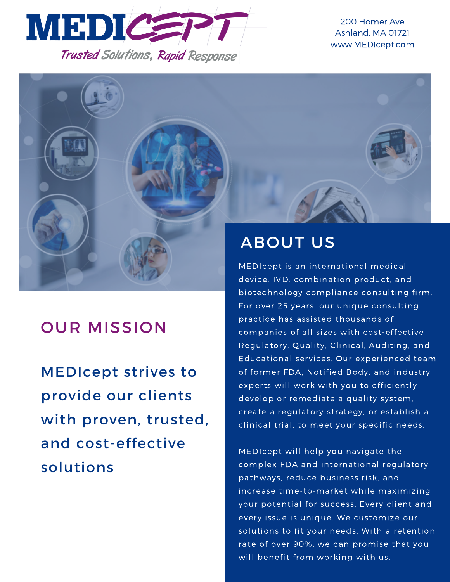

200 Homer Ave Ashland, MA 01721 www.MEDIcept.com



# OUR MISSION

MEDIcept strives to provide our clients with proven, trusted, and cost-effective solutions

MEDIcept is an international medical device, IVD, combination product, and biotechnology compliance consulting firm. For over 25 years, our unique consulting practice has assisted thousands of companies of all sizes with cost-effective Regulatory, Quality, Clinical, Auditing, and Educational services. Our experienced team of former FDA, Notified Body, and industry experts will work with you to efficiently develop or remediate a quality system, create a regulatory strategy, or establish a clinical trial, to meet your specific needs.

MEDIcept will help you navigate the complex FDA and international regulatory pathways, reduce business risk, and increase time-to-market while maximizing your potential for success. Every client and every issue is unique. We customize our solutions to fit your needs. With a retention rate of over 90%, we can promise that you will benefit from working with us.